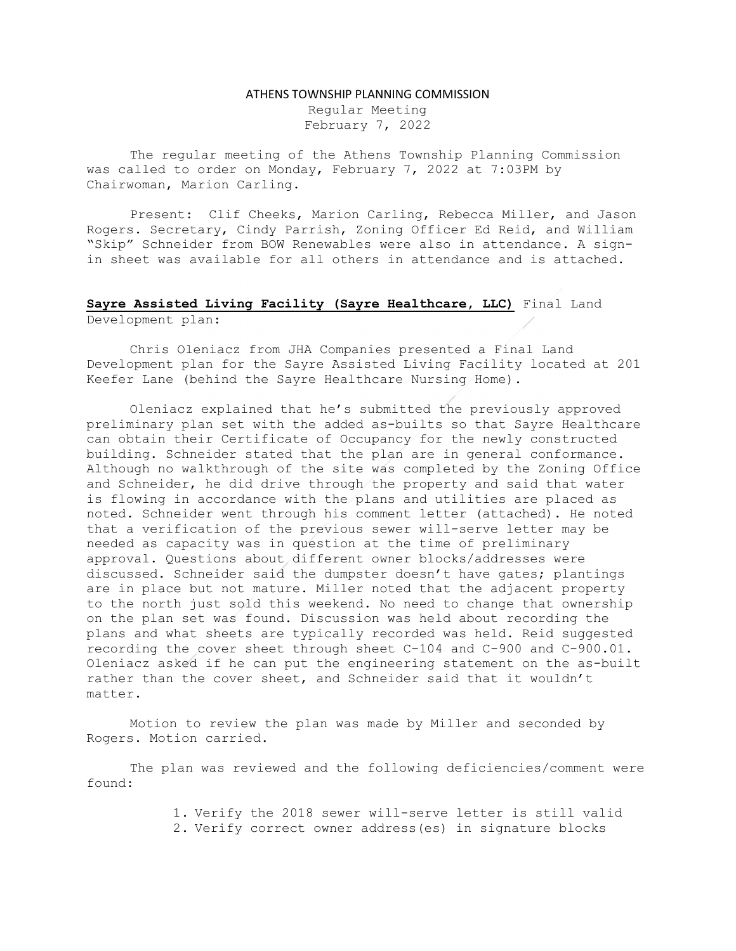## ATHENS TOWNSHIP PLANNING COMMISSION

Regular Meeting February 7, 2022

The regular meeting of the Athens Township Planning Commission was called to order on Monday, February 7, 2022 at 7:03PM by Chairwoman, Marion Carling.

Present: Clif Cheeks, Marion Carling, Rebecca Miller, and Jason Rogers. Secretary, Cindy Parrish, Zoning Officer Ed Reid, and William "Skip" Schneider from BOW Renewables were also in attendance. A signin sheet was available for all others in attendance and is attached.

## Sayre Assisted Living Facility (Sayre Healthcare, LLC) Final Land Development plan:

Chris Oleniacz from JHA Companies presented a Final Land Development plan for the Sayre Assisted Living Facility located at 201 Keefer Lane (behind the Sayre Healthcare Nursing Home).

Oleniacz explained that he's submitted the previously approved preliminary plan set with the added as-builts so that Sayre Healthcare can obtain their Certificate of Occupancy for the newly constructed building. Schneider stated that the plan are in general conformance. Although no walkthrough of the site was completed by the Zoning Office and Schneider, he did drive through the property and said that water is flowing in accordance with the plans and utilities are placed as noted. Schneider went through his comment letter (attached). He noted that a verification of the previous sewer will-serve letter may be needed as capacity was in question at the time of preliminary approval. Questions about different owner blocks/addresses were discussed. Schneider said the dumpster doesn't have gates; plantings are in place but not mature. Miller noted that the adjacent property to the north just sold this weekend. No need to change that ownership on the plan set was found. Discussion was held about recording the plans and what sheets are typically recorded was held. Reid suggested recording the cover sheet through sheet C-104 and C-900 and C-900.01. Oleniacz asked if he can put the engineering statement on the as-built rather than the cover sheet, and Schneider said that it wouldn't matter.

Motion to review the plan was made by Miller and seconded by Rogers. Motion carried.

The plan was reviewed and the following deficiencies/comment were found:

> 1. Verify the 2018 sewer will-serve letter is still valid 2. Verify correct owner address(es) in signature blocks